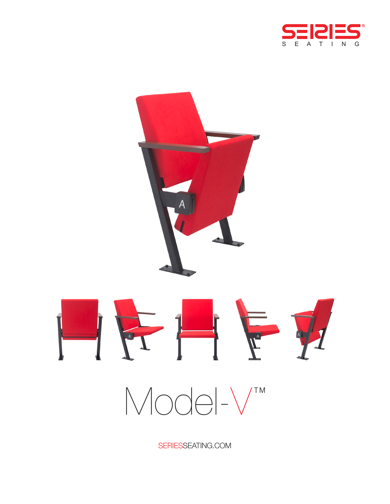



 $Mod-V$ 

SERIESSEATING.COM